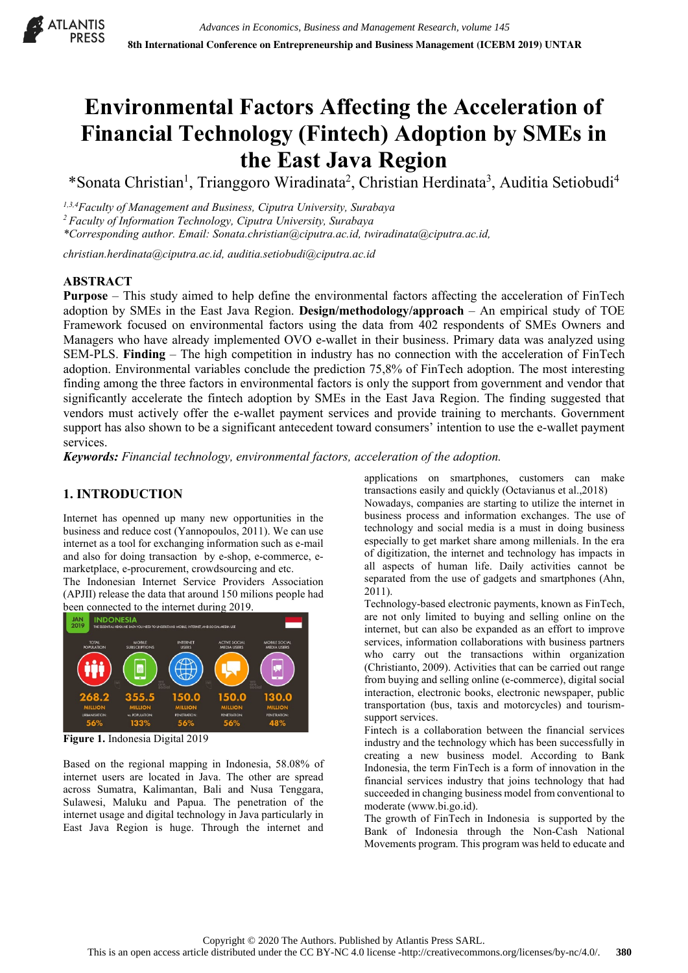

# **Environmental Factors Affecting the Acceleration of Financial Technology (Fintech) Adoption by SMEs in the East Java Region**

\*Sonata Christian<sup>1</sup>, Trianggoro Wiradinata<sup>2</sup>, Christian Herdinata<sup>3</sup>, Auditia Setiobudi<sup>4</sup>

*1,3,4Faculty of Management and Business, Ciputra University, Surabaya*

*2 Faculty of Information Technology, Ciputra University, Surabaya*

*\*Corresponding author. Email: Sonata.christian@ciputra.ac.id, twiradinata@ciputra.ac.id,*

*christian.herdinata@ciputra.ac.id, [auditia.setiobudi@ciputra.ac.id](mailto:auditia.setiobudi@ciputra.ac.id)*

## **ABSTRACT**

**Purpose** – This study aimed to help define the environmental factors affecting the acceleration of FinTech adoption by SMEs in the East Java Region. **Design/methodology/approach** – An empirical study of TOE Framework focused on environmental factors using the data from 402 respondents of SMEs Owners and Managers who have already implemented OVO e-wallet in their business. Primary data was analyzed using SEM-PLS. **Finding** – The high competition in industry has no connection with the acceleration of FinTech adoption. Environmental variables conclude the prediction 75,8% of FinTech adoption. The most interesting finding among the three factors in environmental factors is only the support from government and vendor that significantly accelerate the fintech adoption by SMEs in the East Java Region. The finding suggested that vendors must actively offer the e-wallet payment services and provide training to merchants. Government support has also shown to be a significant antecedent toward consumers' intention to use the e-wallet payment services.

*Keywords: Financial technology, environmental factors, acceleration of the adoption.*

# **1. INTRODUCTION**

Internet has openned up many new opportunities in the business and reduce cost (Yannopoulos, 2011). We can use internet as a tool for exchanging information such as e-mail and also for doing transaction by e-shop, e-commerce, emarketplace, e-procurement, crowdsourcing and etc.

The Indonesian Internet Service Providers Association (APJII) release the data that around 150 milions people had been connected to the internet during 2019.



**Figure 1.** Indonesia Digital 2019

Based on the regional mapping in Indonesia, 58.08% of internet users are located in Java. The other are spread across Sumatra, Kalimantan, Bali and Nusa Tenggara, Sulawesi, Maluku and Papua. The penetration of the internet usage and digital technology in Java particularly in East Java Region is huge. Through the internet and applications on smartphones, customers can make transactions easily and quickly (Octavianus et al.,2018)

Nowadays, companies are starting to utilize the internet in business process and information exchanges. The use of technology and social media is a must in doing business especially to get market share among millenials. In the era of digitization, the internet and technology has impacts in all aspects of human life. Daily activities cannot be separated from the use of gadgets and smartphones (Ahn, 2011).

Technology-based electronic payments, known as FinTech, are not only limited to buying and selling online on the internet, but can also be expanded as an effort to improve services, information collaborations with business partners who carry out the transactions within organization (Christianto, 2009). Activities that can be carried out range from buying and selling online (e-commerce), digital social interaction, electronic books, electronic newspaper, public transportation (bus, taxis and motorcycles) and tourismsupport services.

Fintech is a collaboration between the financial services industry and the technology which has been successfully in creating a new business model. According to Bank Indonesia, the term FinTech is a form of innovation in the financial services industry that joins technology that had succeeded in changing business model from conventional to moderate [\(www.bi.go.id\)](http://www.bi.go.id/).

The growth of FinTech in Indonesia is supported by the Bank of Indonesia through the Non-Cash National Movements program. This program was held to educate and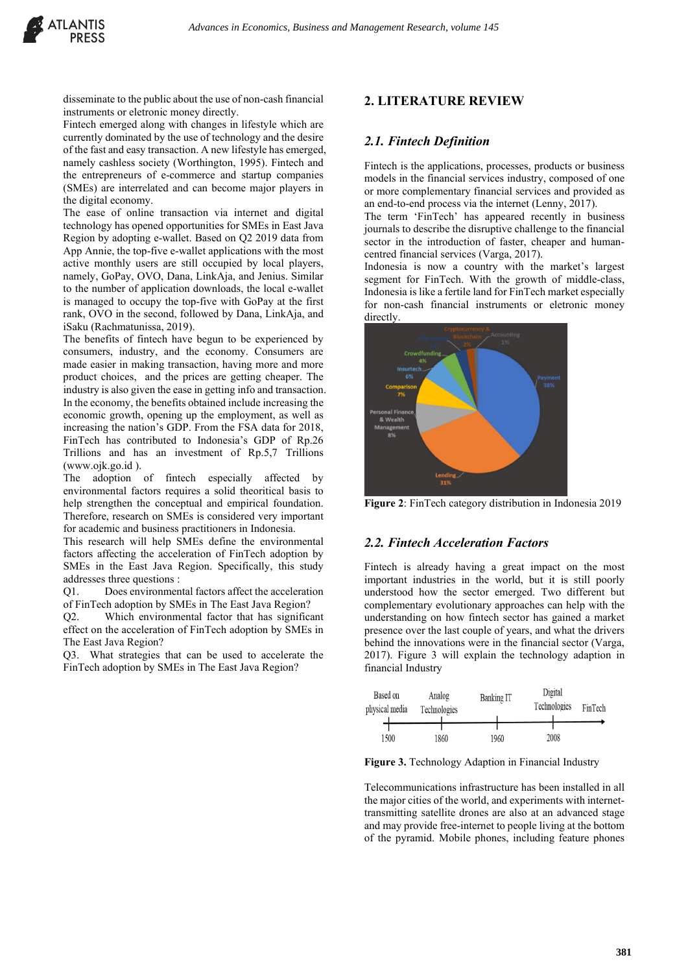disseminate to the public about the use of non-cash financial instruments or eletronic money directly.

Fintech emerged along with changes in lifestyle which are currently dominated by the use of technology and the desire of the fast and easy transaction. A new lifestyle has emerged, namely cashless society (Worthington, 1995). Fintech and the entrepreneurs of e-commerce and startup companies (SMEs) are interrelated and can become major players in the digital economy.

The ease of online transaction via internet and digital technology has opened opportunities for SMEs in East Java Region by adopting e-wallet. Based on Q2 2019 data from App Annie, the top-five e-wallet applications with the most active monthly users are still occupied by local players, namely, GoPay, OVO, Dana, LinkAja, and Jenius. Similar to the number of application downloads, the local e-wallet is managed to occupy the top-five with GoPay at the first rank, OVO in the second, followed by Dana, LinkAja, and iSaku (Rachmatunissa, 2019).

The benefits of fintech have begun to be experienced by consumers, industry, and the economy. Consumers are made easier in making transaction, having more and more product choices, and the prices are getting cheaper. The industry is also given the ease in getting info and transaction. In the economy, the benefits obtained include increasing the economic growth, opening up the employment, as well as increasing the nation's GDP. From the FSA data for 2018, FinTech has contributed to Indonesia's GDP of Rp.26 Trillions and has an investment of Rp.5,7 Trillions [\(www.ojk.go.id](http://www.ojk.go.id/) ).

The adoption of fintech especially affected by environmental factors requires a solid theoritical basis to help strengthen the conceptual and empirical foundation. Therefore, research on SMEs is considered very important for academic and business practitioners in Indonesia.

This research will help SMEs define the environmental factors affecting the acceleration of FinTech adoption by SMEs in the East Java Region. Specifically, this study addresses three questions :

Q1. Does environmental factors affect the acceleration of FinTech adoption by SMEs in The East Java Region?

Q2. Which environmental factor that has significant effect on the acceleration of FinTech adoption by SMEs in The East Java Region?

Q3. What strategies that can be used to accelerate the FinTech adoption by SMEs in The East Java Region?

### **2. LITERATURE REVIEW**

#### *2.1. Fintech Definition*

Fintech is the applications, processes, products or business models in the financial services industry, composed of one or more complementary financial services and provided as an end-to-end process via the internet (Lenny, 2017).

The term 'FinTech' has appeared recently in business journals to describe the disruptive challenge to the financial sector in the introduction of faster, cheaper and humancentred financial services (Varga, 2017).

Indonesia is now a country with the market's largest segment for FinTech. With the growth of middle-class, Indonesia is like a fertile land for FinTech market especially for non-cash financial instruments or eletronic money directly.



**Figure 2**: FinTech category distribution in Indonesia 2019

#### *2.2. Fintech Acceleration Factors*

Fintech is already having a great impact on the most important industries in the world, but it is still poorly understood how the sector emerged. Two different but complementary evolutionary approaches can help with the understanding on how fintech sector has gained a market presence over the last couple of years, and what the drivers behind the innovations were in the financial sector (Varga, 2017). Figure 3 will explain the technology adaption in financial Industry



**Figure 3.** Technology Adaption in Financial Industry

Telecommunications infrastructure has been installed in all the major cities of the world, and experiments with internettransmitting satellite drones are also at an advanced stage and may provide free-internet to people living at the bottom of the pyramid. Mobile phones, including feature phones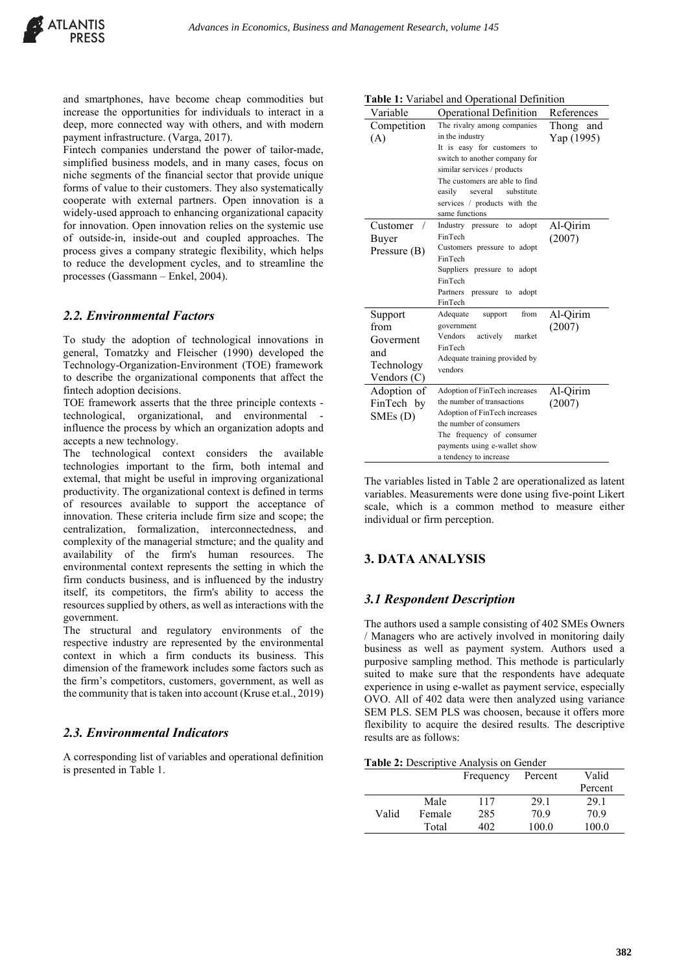and smartphones, have become cheap commodities but increase the opportunities for individuals to interact in a deep, more connected way with others, and with modern payment infrastructure. (Varga, 2017).

Fintech companies understand the power of tailor-made, simplified business models, and in many cases, focus on niche segments of the financial sector that provide unique forms of value to their customers. They also systematically cooperate with external partners. Open innovation is a widely-used approach to enhancing organizational capacity for innovation. Open innovation relies on the systemic use of outside-in, inside-out and coupled approaches. The process gives a company strategic flexibility, which helps to reduce the development cycles, and to streamline the processes (Gassmann – Enkel, 2004).

## *2.2. Environmental Factors*

To study the adoption of technological innovations in general, Tomatzky and Fleischer (1990) developed the Technology-Organization-Environment (TOE) framework to describe the organizational components that affect the fintech adoption decisions.

TOE framework asserts that the three principle contexts technological, organizational, and environmental influence the process by which an organization adopts and accepts a new technology.

The technological context considers the available technologies important to the firm, both intemal and extemal, that might be useful in improving organizational productivity. The organizational context is defined in terms of resources available to support the acceptance of innovation. These criteria include firm size and scope; the centralization, formalization, interconnectedness, and complexity of the managerial stmcture; and the quality and availability of the firm's human resources. The environmental context represents the setting in which the firm conducts business, and is influenced by the industry itself, its competitors, the firm's ability to access the resources supplied by others, as well as interactions with the government.

The structural and regulatory environments of the respective industry are represented by the environmental context in which a firm conducts its business. This dimension of the framework includes some factors such as the firm's competitors, customers, government, as well as the community that is taken into account (Kruse et.al., 2019)

# *2.3. Environmental Indicators*

A corresponding list of variables and operational definition is presented in Table 1.

| Variable                                                         | Operational Definition                                                                                                                                                                                                                                               | References              |
|------------------------------------------------------------------|----------------------------------------------------------------------------------------------------------------------------------------------------------------------------------------------------------------------------------------------------------------------|-------------------------|
| Competition<br>(A)                                               | The rivalry among companies<br>in the industry<br>It is easy for customers to<br>switch to another company for<br>similar services / products<br>The customers are able to find<br>substitute<br>easily<br>several<br>services / products with the<br>same functions | Thong and<br>Yap (1995) |
| Customer<br>Buyer<br>Pressure (B)                                | Industry pressure<br>adopt<br>to<br>FinTech<br>Customers pressure to adopt<br>FinTech<br>Suppliers pressure to adopt<br>FinTech<br>Partners<br>pressure<br>adopt<br>to<br>FinTech                                                                                    | Al-Qirim<br>(2007)      |
| Support<br>from<br>Goverment<br>and<br>Technology<br>Vendors (C) | from<br>Adequate<br>support<br>government<br>Vendors<br>actively<br>market<br>FinTech<br>Adequate training provided by<br>vendors                                                                                                                                    | Al-Qirim<br>(2007)      |
| Adoption of<br>FinTech by<br>SMEs(D)                             | Adoption of FinTech increases<br>the number of transactions<br>Adoption of FinTech increases<br>the number of consumers<br>The frequency of consumer<br>payments using e-wallet show<br>a tendency to increase                                                       | Al-Qirim<br>(2007)      |

**Table 1:** Variabel and Operational Definition

The variables listed in Table 2 are operationalized as latent variables. Measurements were done using five-point Likert scale, which is a common method to measure either individual or firm perception.

# **3. DATA ANALYSIS**

## *3.1 Respondent Description*

The authors used a sample consisting of 402 SMEs Owners / Managers who are actively involved in monitoring daily business as well as payment system. Authors used a purposive sampling method. This methode is particularly suited to make sure that the respondents have adequate experience in using e-wallet as payment service, especially OVO. All of 402 data were then analyzed using variance SEM PLS. SEM PLS was choosen, because it offers more flexibility to acquire the desired results. The descriptive results are as follows:

|       |        | Frequency | Percent | Valid   |
|-------|--------|-----------|---------|---------|
|       |        |           |         | Percent |
|       | Male   | 117       | 29.1    | 29.1    |
| Valid | Female | 285       | 70.9    | 70.9    |
|       | Total  | 402       | 100.0   | 100.0   |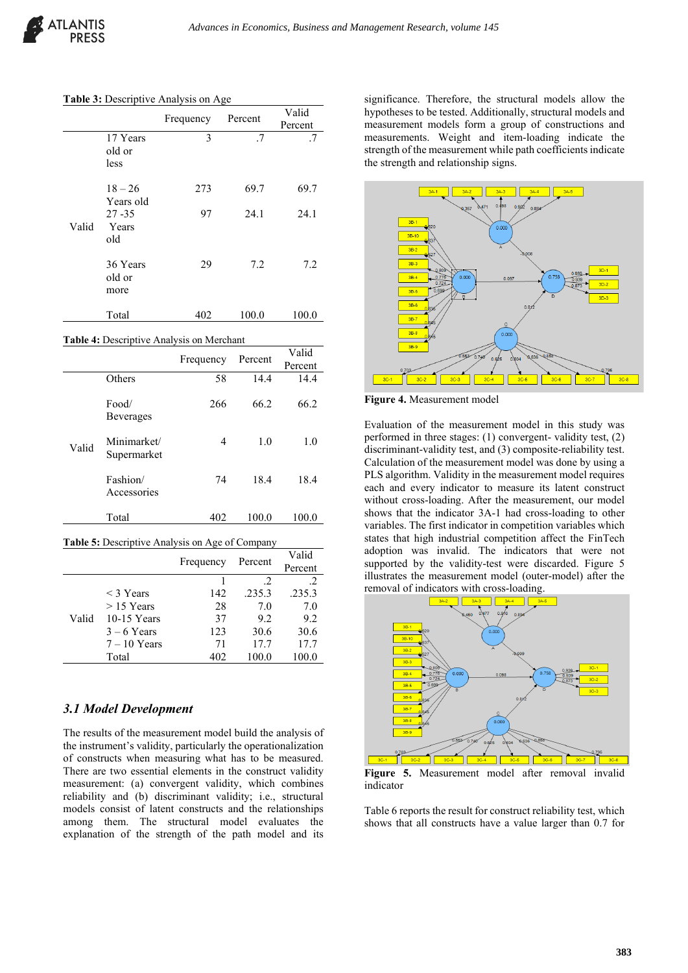|       |                            | Frequency | Percent | Valid<br>Percent |
|-------|----------------------------|-----------|---------|------------------|
|       | 17 Years<br>old or<br>less | 3         | .7      | .7               |
|       | $18 - 26$<br>Years old     | 273       | 69.7    | 69.7             |
| Valid | $27 - 35$<br>Years<br>old  | 97        | 24.1    | 24.1             |
|       | 36 Years<br>old or<br>more | 29        | 7.2     | 7.2              |
|       | Total                      | 402       | 100.0   | 100.0            |

**Table 4:** Descriptive Analysis on Merchant

|       |                            | Frequency | Percent | Valid<br>Percent |
|-------|----------------------------|-----------|---------|------------------|
|       | Others                     | 58        | 14.4    | 14.4             |
|       | Food/<br><b>Beverages</b>  | 266       | 66.2    | 66.2             |
| Valid | Minimarket/<br>Supermarket | 4         | 1.0     | 1.0              |
|       | Fashion/<br>Accessories    | 74        | 18.4    | 18.4             |
|       | Total                      | 402       | 100.0   | 100.0            |

**Table 5:** Descriptive Analysis on Age of Company

|       |                | Frequency | Percent | Valid<br>Percent |
|-------|----------------|-----------|---------|------------------|
|       |                |           | .2      | .2               |
|       | $<$ 3 Years    | 142       | .235.3  | .235.3           |
|       | $>$ 15 Years   | 28        | 7.0     | 7.0              |
| Valid | $10-15$ Years  | 37        | 9.2     | 9.2              |
|       | $3 - 6$ Years  | 123       | 30.6    | 30.6             |
|       | $7 - 10$ Years | 71        | 17.7    | 17.7             |
|       | Total          | 402       | 100.0   | 100.0            |

### *3.1 Model Development*

The results of the measurement model build the analysis of the instrument's validity, particularly the operationalization of constructs when measuring what has to be measured. There are two essential elements in the construct validity measurement: (a) convergent validity, which combines reliability and (b) discriminant validity; i.e., structural models consist of latent constructs and the relationships among them. The structural model evaluates the explanation of the strength of the path model and its

significance. Therefore, the structural models allow the hypotheses to be tested. Additionally, structural models and measurement models form a group of constructions and measurements. Weight and item-loading indicate the strength of the measurement while path coefficients indicate the strength and relationship signs.



**Figure 4.** Measurement model

Evaluation of the measurement model in this study was performed in three stages: (1) convergent- validity test, (2) discriminant-validity test, and (3) composite-reliability test. Calculation of the measurement model was done by using a PLS algorithm. Validity in the measurement model requires each and every indicator to measure its latent construct without cross-loading. After the measurement, our model shows that the indicator 3A-1 had cross-loading to other variables. The first indicator in competition variables which states that high industrial competition affect the FinTech adoption was invalid. The indicators that were not supported by the validity-test were discarded. Figure 5 illustrates the measurement model (outer-model) after the removal of indicators with cross-loading.



**Figure 5.** Measurement model after removal invalid indicator

Table 6 reports the result for construct reliability test, which shows that all constructs have a value larger than 0.7 for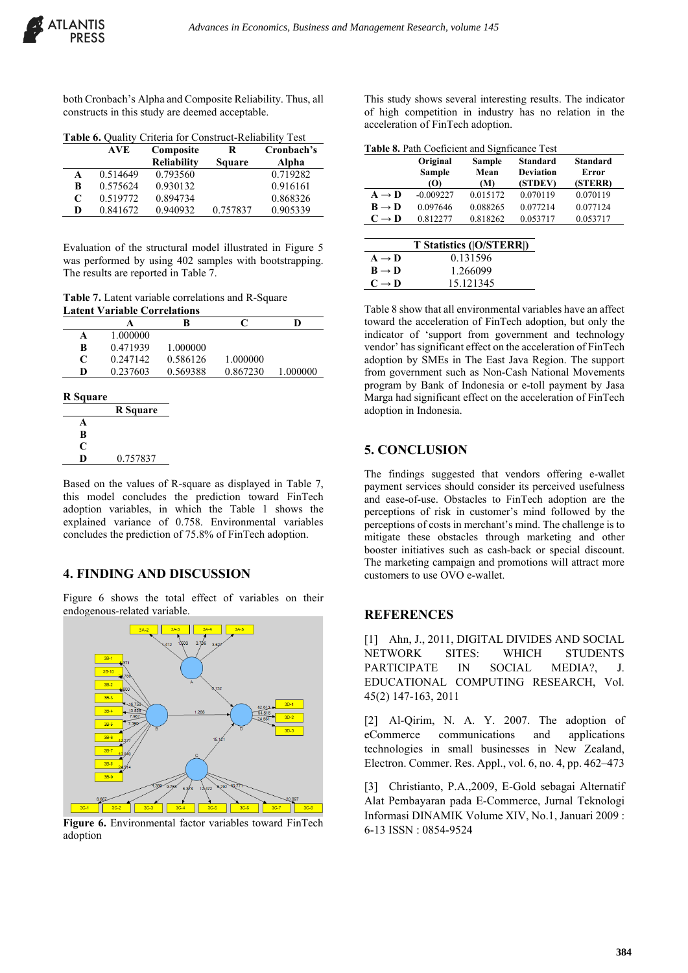both Cronbach's Alpha and Composite Reliability. Thus, all constructs in this study are deemed acceptable.

**Table 6.** Quality Criteria for Construct-Reliability Test

|   | <b>AVE</b> | Composite          | R             | Cronbach's |
|---|------------|--------------------|---------------|------------|
|   |            | <b>Reliability</b> | <b>Square</b> | Alpha      |
| A | 0.514649   | 0.793560           |               | 0.719282   |
| B | 0.575624   | 0.930132           |               | 0.916161   |
| C | 0.519772   | 0.894734           |               | 0.868326   |
| D | 0.841672   | 0.940932           | 0.757837      | 0.905339   |

Evaluation of the structural model illustrated in Figure 5 was performed by using 402 samples with bootstrapping. The results are reported in Table 7.

**Table 7.** Latent variable correlations and R-Square **Latent Variable Correlations**

|                             |          | B        |          | D        |
|-----------------------------|----------|----------|----------|----------|
|                             | 1.000000 |          |          |          |
| в                           | 0.471939 | 1.000000 |          |          |
| $\mathcal{C}_{\mathcal{C}}$ | 0.247142 | 0.586126 | 1.000000 |          |
| D                           | 0.237603 | 0.569388 | 0.867230 | 1.000000 |
|                             |          |          |          |          |

| <b>R</b> Square |                 |
|-----------------|-----------------|
|                 | <b>R</b> Square |
| A               |                 |
| B               |                 |
| C               |                 |
| D               | 0.757837        |
|                 |                 |

Based on the values of R-square as displayed in Table 7, this model concludes the prediction toward FinTech adoption variables, in which the Table 1 shows the explained variance of 0.758. Environmental variables concludes the prediction of 75.8% of FinTech adoption.

#### **4. FINDING AND DISCUSSION**

Figure 6 shows the total effect of variables on their endogenous-related variable.



**Figure 6.** Environmental factor variables toward FinTech adoption

This study shows several interesting results. The indicator of high competition in industry has no relation in the acceleration of FinTech adoption.

|  | Table 8. Path Coeficient and Signficance Test |  |  |
|--|-----------------------------------------------|--|--|
|--|-----------------------------------------------|--|--|

|                          | Original                    | Sample      | <b>Standard</b>             | <b>Standard</b>  |
|--------------------------|-----------------------------|-------------|-----------------------------|------------------|
|                          | <b>Sample</b><br>$\bf{(0)}$ | Mean<br>(M) | <b>Deviation</b><br>(STDEV) | Error<br>(STERR) |
|                          |                             |             |                             |                  |
| $A \rightarrow D$        | $-0.009227$                 | 0.015172    | 0.070119                    | 0.070119         |
| $B \rightarrow D$        | 0.097646                    | 0.088265    | 0.077214                    | 0.077124         |
| $C \rightarrow D$        | 0.812277                    | 0.818262    | 0.053717                    | 0.053717         |
|                          |                             |             |                             |                  |
| T Statistics ( O/STERR ) |                             |             |                             |                  |

|                   | $\mathbf{r}$ blattstics ([O/b I LIMA] |
|-------------------|---------------------------------------|
| $A \rightarrow D$ | 0.131596                              |
| $B \rightarrow D$ | 1.266099                              |
| $C \rightarrow D$ | 15.121345                             |
|                   |                                       |

Table 8 show that all environmental variables have an affect toward the acceleration of FinTech adoption, but only the indicator of 'support from government and technology vendor' has significant effect on the acceleration of FinTech adoption by SMEs in The East Java Region. The support from government such as Non-Cash National Movements program by Bank of Indonesia or e-toll payment by Jasa Marga had significant effect on the acceleration of FinTech adoption in Indonesia.

## **5. CONCLUSION**

The findings suggested that vendors offering e-wallet payment services should consider its perceived usefulness and ease-of-use. Obstacles to FinTech adoption are the perceptions of risk in customer's mind followed by the perceptions of costs in merchant's mind. The challenge is to mitigate these obstacles through marketing and other booster initiatives such as cash-back or special discount. The marketing campaign and promotions will attract more customers to use OVO e-wallet.

## **REFERENCES**

[1] Ahn, J., 2011, DIGITAL DIVIDES AND SOCIAL NETWORK SITES: WHICH STUDENTS PARTICIPATE IN SOCIAL MEDIA?, J. EDUCATIONAL COMPUTING RESEARCH, Vol. 45(2) 147-163, 2011

[2] Al-Qirim, N. A. Y. 2007. The adoption of eCommerce communications and applications technologies in small businesses in New Zealand, Electron. Commer. Res. Appl., vol. 6, no. 4, pp. 462–473

[3] Christianto, P.A.,2009, E-Gold sebagai Alternatif Alat Pembayaran pada E-Commerce, Jurnal Teknologi Informasi DINAMIK Volume XIV, No.1, Januari 2009 : 6-13 ISSN : 0854-9524